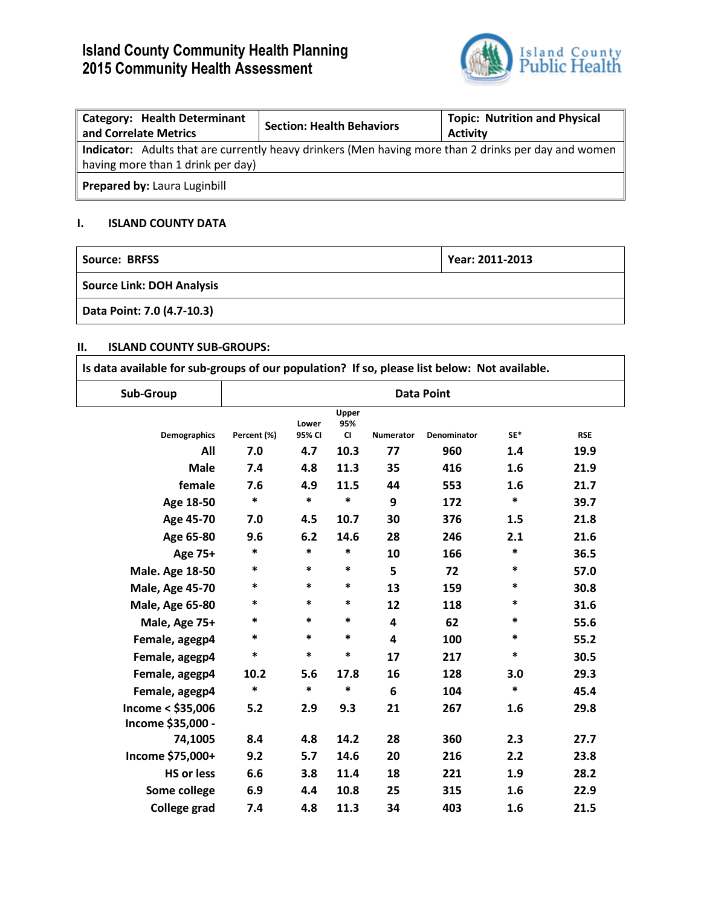# **Island County Community Health Planning 2015 Community Health Assessment**



| <b>Category: Health Determinant</b><br>and Correlate Metrics | <b>Section: Health Behaviors</b>                                                                     | <b>Topic: Nutrition and Physical</b><br><b>Activity</b> |
|--------------------------------------------------------------|------------------------------------------------------------------------------------------------------|---------------------------------------------------------|
| having more than 1 drink per day)                            | Indicator: Adults that are currently heavy drinkers (Men having more than 2 drinks per day and women |                                                         |
| Prepared by: Laura Luginbill                                 |                                                                                                      |                                                         |

# **I. ISLAND COUNTY DATA**

| Source: BRFSS                    | Year: 2011-2013 |
|----------------------------------|-----------------|
| <b>Source Link: DOH Analysis</b> |                 |
| Data Point: 7.0 (4.7-10.3)       |                 |

### **II. ISLAND COUNTY SUB-GROUPS:**

| Sub-Group              |             |                 |                           |                  | <b>Data Point</b> |        |            |
|------------------------|-------------|-----------------|---------------------------|------------------|-------------------|--------|------------|
| Demographics           | Percent (%) | Lower<br>95% CI | Upper<br>95%<br><b>CI</b> | <b>Numerator</b> | Denominator       | SE*    | <b>RSE</b> |
| All                    | 7.0         | 4.7             | 10.3                      | 77               | 960               | 1.4    | 19.9       |
| <b>Male</b>            | 7.4         | 4.8             | 11.3                      | 35               | 416               | 1.6    | 21.9       |
| female                 | 7.6         | 4.9             | 11.5                      | 44               | 553               | 1.6    | 21.7       |
| Age 18-50              | *           | *               | *                         | 9                | 172               | *      | 39.7       |
| Age 45-70              | 7.0         | 4.5             | 10.7                      | 30               | 376               | 1.5    | 21.8       |
| Age 65-80              | 9.6         | 6.2             | 14.6                      | 28               | 246               | 2.1    | 21.6       |
| Age 75+                | $\ast$      | $\ast$          | $\ast$                    | 10               | 166               | $\ast$ | 36.5       |
| <b>Male. Age 18-50</b> | $\ast$      | *               | *                         | 5                | 72                | $\ast$ | 57.0       |

| Age 65-80              | 9.6    | 6.2    | 14.6   | 28 | 246 | 2.1    | 21.6 |
|------------------------|--------|--------|--------|----|-----|--------|------|
| Age 75+                | $\ast$ | $\ast$ | $\ast$ | 10 | 166 | $\ast$ | 36.5 |
| <b>Male. Age 18-50</b> | *      | $\ast$ | $\ast$ | 5  | 72  | $\ast$ | 57.0 |
| <b>Male, Age 45-70</b> | *      | $\ast$ | $\ast$ | 13 | 159 | $\ast$ | 30.8 |
| <b>Male, Age 65-80</b> | *      | $\ast$ | $\ast$ | 12 | 118 | $\ast$ | 31.6 |
| Male, Age 75+          | $\ast$ | $\ast$ | $\ast$ | 4  | 62  | $\ast$ | 55.6 |
| Female, agegp4         | $\ast$ | $\ast$ | $\ast$ | 4  | 100 | $\ast$ | 55.2 |
| Female, agegp4         | $\ast$ | $\ast$ | $\ast$ | 17 | 217 | $\ast$ | 30.5 |
| Female, agegp4         | 10.2   | 5.6    | 17.8   | 16 | 128 | 3.0    | 29.3 |
| Female, agegp4         | *      | $\ast$ | $\ast$ | 6  | 104 | $\ast$ | 45.4 |
| Income < \$35,006      | 5.2    | 2.9    | 9.3    | 21 | 267 | 1.6    | 29.8 |
| Income \$35,000 -      |        |        |        |    |     |        |      |
| 74,1005                | 8.4    | 4.8    | 14.2   | 28 | 360 | 2.3    | 27.7 |
| Income \$75,000+       | 9.2    | 5.7    | 14.6   | 20 | 216 | 2.2    | 23.8 |
| <b>HS or less</b>      | 6.6    | 3.8    | 11.4   | 18 | 221 | 1.9    | 28.2 |
| Some college           | 6.9    | 4.4    | 10.8   | 25 | 315 | 1.6    | 22.9 |
| <b>College grad</b>    | 7.4    | 4.8    | 11.3   | 34 | 403 | 1.6    | 21.5 |